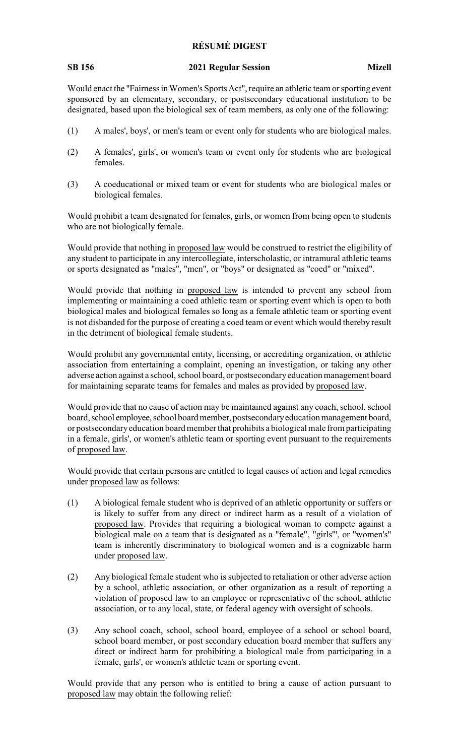## **RÉSUMÉ DIGEST**

## **SB 156 2021 Regular Session Mizell**

Would enact the "Fairness in Women's Sports Act", require an athletic team or sporting event sponsored by an elementary, secondary, or postsecondary educational institution to be designated, based upon the biological sex of team members, as only one of the following:

- (1) A males', boys', or men's team or event only for students who are biological males.
- (2) A females', girls', or women's team or event only for students who are biological females.
- (3) A coeducational or mixed team or event for students who are biological males or biological females.

Would prohibit a team designated for females, girls, or women from being open to students who are not biologically female.

Would provide that nothing in proposed law would be construed to restrict the eligibility of any student to participate in any intercollegiate, interscholastic, or intramural athletic teams or sports designated as "males", "men", or "boys" or designated as "coed" or "mixed".

Would provide that nothing in proposed law is intended to prevent any school from implementing or maintaining a coed athletic team or sporting event which is open to both biological males and biological females so long as a female athletic team or sporting event is not disbanded for the purpose of creating a coed team or event which would thereby result in the detriment of biological female students.

Would prohibit any governmental entity, licensing, or accrediting organization, or athletic association from entertaining a complaint, opening an investigation, or taking any other adverse action against a school, school board, or postsecondaryeducation management board for maintaining separate teams for females and males as provided by proposed law.

Would provide that no cause of action may be maintained against any coach, school, school board, school employee, school board member, postsecondary education management board, or postsecondaryeducation board member that prohibits a biological male from participating in a female, girls', or women's athletic team or sporting event pursuant to the requirements of proposed law.

Would provide that certain persons are entitled to legal causes of action and legal remedies under proposed law as follows:

- (1) A biological female student who is deprived of an athletic opportunity or suffers or is likely to suffer from any direct or indirect harm as a result of a violation of proposed law. Provides that requiring a biological woman to compete against a biological male on a team that is designated as a "female", "girls'", or "women's" team is inherently discriminatory to biological women and is a cognizable harm under proposed law.
- (2) Any biological female student who is subjected to retaliation or other adverse action by a school, athletic association, or other organization as a result of reporting a violation of proposed law to an employee or representative of the school, athletic association, or to any local, state, or federal agency with oversight of schools.
- (3) Any school coach, school, school board, employee of a school or school board, school board member, or post secondary education board member that suffers any direct or indirect harm for prohibiting a biological male from participating in a female, girls', or women's athletic team or sporting event.

Would provide that any person who is entitled to bring a cause of action pursuant to proposed law may obtain the following relief: